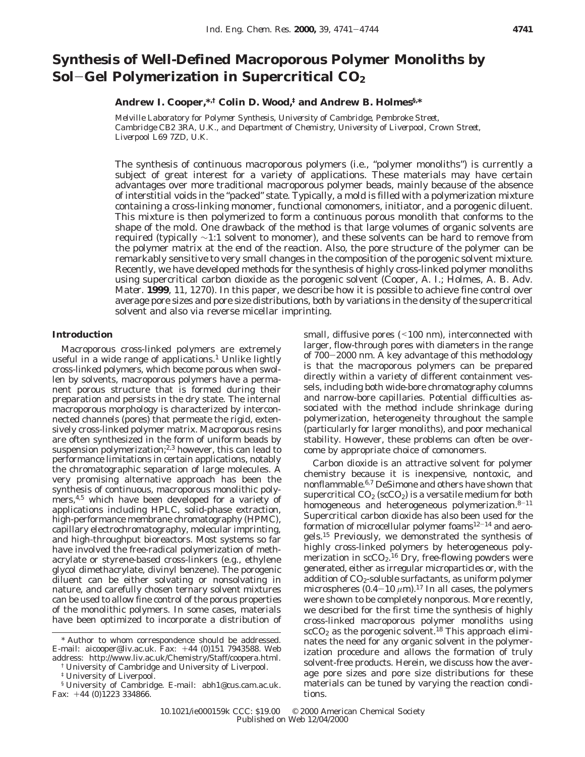# **Synthesis of Well-Defined Macroporous Polymer Monoliths by Sol**-**Gel Polymerization in Supercritical CO2**

# **Andrew I. Cooper,\*,† Colin D. Wood,‡ and Andrew B. Holmes§,\***

*Melville Laboratory for Polymer Synthesis, University of Cambridge, Pembroke Street, Cambridge CB2 3RA, U.K., and Department of Chemistry, University of Liverpool, Crown Street, Liverpool L69 7ZD, U.K.*

The synthesis of continuous macroporous polymers (i.e., "polymer monoliths") is currently a subject of great interest for a variety of applications. These materials may have certain advantages over more traditional macroporous polymer beads, mainly because of the absence of interstitial voids in the "packed" state. Typically, a mold is filled with a polymerization mixture containing a cross-linking monomer, functional comonomers, initiator, and a porogenic diluent. This mixture is then polymerized to form a continuous porous monolith that conforms to the shape of the mold. One drawback of the method is that large volumes of organic solvents are required (typically ∼1:1 solvent to monomer), and these solvents can be hard to remove from the polymer matrix at the end of the reaction. Also, the pore structure of the polymer can be remarkably sensitive to very small changes in the composition of the porogenic solvent mixture. Recently, we have developed methods for the synthesis of highly cross-linked polymer monoliths using supercritical carbon dioxide as the porogenic solvent (Cooper, A. I.; Holmes, A. B. *Adv. Mater.* **1999**, *11*, 1270). In this paper, we describe how it is possible to achieve fine control over average pore sizes and pore size distributions, both by variations in the density of the supercritical solvent and also via reverse micellar imprinting.

### **Introduction**

Macroporous cross-linked polymers are extremely useful in a wide range of applications.<sup>1</sup> Unlike lightly cross-linked polymers, which become porous when swollen by solvents, macroporous polymers have a permanent porous structure that is formed during their preparation and persists in the dry state. The internal macroporous morphology is characterized by interconnected channels (pores) that permeate the rigid, extensively cross-linked polymer matrix. Macroporous resins are often synthesized in the form of uniform beads by suspension polymerization;<sup>2,3</sup> however, this can lead to performance limitations in certain applications, notably the chromatographic separation of large molecules. A very promising alternative approach has been the synthesis of continuous, macroporous monolithic polymers,<sup>4,5</sup> which have been developed for a variety of applications including HPLC, solid-phase extraction, high-performance membrane chromatography (HPMC), capillary electrochromatography, molecular imprinting, and high-throughput bioreactors. Most systems so far have involved the free-radical polymerization of methacrylate or styrene-based cross-linkers (e.g., ethylene glycol dimethacrylate, divinyl benzene). The porogenic diluent can be either solvating or nonsolvating in nature, and carefully chosen ternary solvent mixtures can be used to allow fine control of the porous properties of the monolithic polymers. In some cases, materials have been optimized to incorporate a distribution of

† University of Cambridge and University of Liverpool.

small, diffusive pores (<100 nm), interconnected with larger, flow-through pores with diameters in the range of 700-2000 nm. A key advantage of this methodology is that the macroporous polymers can be prepared directly within a variety of different containment vessels, including both wide-bore chromatography columns and narrow-bore capillaries. Potential difficulties associated with the method include shrinkage during polymerization, heterogeneity throughout the sample (particularly for larger monoliths), and poor mechanical stability. However, these problems can often be overcome by appropriate choice of comonomers.

Carbon dioxide is an attractive solvent for polymer chemistry because it is inexpensive, nontoxic, and nonflammable.6,7 DeSimone and others have shown that supercritical  $CO<sub>2</sub>$  (scCO<sub>2</sub>) is a versatile medium for both homogeneous and heterogeneous polymerization.<sup>8-11</sup> Supercritical carbon dioxide has also been used for the formation of microcellular polymer foams $12-14$  and aerogels.15 Previously, we demonstrated the synthesis of highly cross-linked polymers by heterogeneous polymerization in scCO<sub>2</sub>.<sup>16</sup> Dry, free-flowing powders were generated, either as irregular microparticles or, with the addition of CO<sub>2</sub>-soluble surfactants, as uniform polymer microspheres  $(0.4-10 \ \mu m)^{17}$  In all cases, the polymers were shown to be completely nonporous. More recently, we described for the first time the synthesis of highly cross-linked macroporous polymer monoliths using  $scCO<sub>2</sub>$  as the porogenic solvent.<sup>18</sup> This approach eliminates the need for any organic solvent in the polymerization procedure and allows the formation of truly solvent-free products. Herein, we discuss how the average pore sizes and pore size distributions for these materials can be tuned by varying the reaction conditions.

<sup>\*</sup> Author to whom correspondence should be addressed. E-mail: aicooper@liv.ac.uk. Fax: +44 (0)151 7943588. Web address: http://www.liv.ac.uk/Chemistry/Staff/coopera.html.

<sup>‡</sup> University of Liverpool.

<sup>§</sup> University of Cambridge. E-mail: abh1@cus.cam.ac.uk. Fax:  $+44$  (0)1223 334866.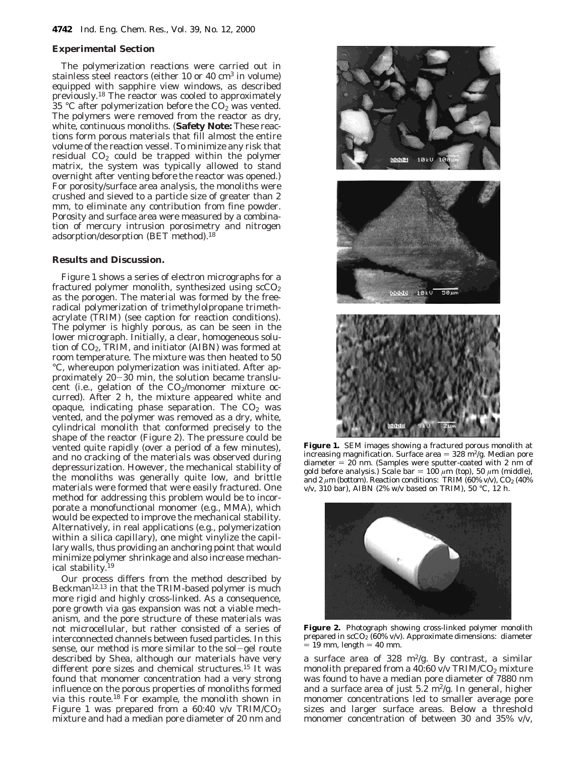#### **Experimental Section**

The polymerization reactions were carried out in stainless steel reactors (either 10 or 40 cm3 in volume) equipped with sapphire view windows, as described previously.18 The reactor was cooled to approximately 35 °C after polymerization before the  $CO<sub>2</sub>$  was vented. The polymers were removed from the reactor as dry, white, continuous monoliths. (**Safety Note:** These reactions form porous materials that fill almost the entire volume of the reaction vessel. To minimize any risk that residual  $CO<sub>2</sub>$  could be trapped within the polymer matrix, the system was typically allowed to stand overnight after venting *before* the reactor was opened.) For porosity/surface area analysis, the monoliths were crushed and sieved to a particle size of greater than 2 mm, to eliminate any contribution from fine powder. Porosity and surface area were measured by a combination of mercury intrusion porosimetry and nitrogen adsorption/desorption (BET method).18

# **Results and Discussion.**

Figure 1 shows a series of electron micrographs for a fractured polymer monolith, synthesized using  $\vert$  scCO<sub>2</sub> as the porogen. The material was formed by the freeradical polymerization of trimethylolpropane trimethacrylate (TRIM) (see caption for reaction conditions). The polymer is highly porous, as can be seen in the lower micrograph. Initially, a clear, homogeneous solution of  $CO<sub>2</sub>$ , TRIM, and initiator (AIBN) was formed at room temperature. The mixture was then heated to 50 °C, whereupon polymerization was initiated. After approximately 20-30 min, the solution became translucent (i.e., gelation of the  $CO<sub>2</sub>/monomer$  mixture occurred). After 2 h, the mixture appeared white and opaque, indicating phase separation. The  $CO<sub>2</sub>$  was vented, and the polymer was removed as a dry, white, cylindrical monolith that conformed precisely to the shape of the reactor (Figure 2). The pressure could be vented quite rapidly (over a period of a few minutes), and no cracking of the materials was observed during depressurization. However, the mechanical stability of the monoliths was generally quite low, and brittle materials were formed that were easily fractured. One method for addressing this problem would be to incorporate a monofunctional monomer (e.g., MMA), which would be expected to improve the mechanical stability. Alternatively, in real applications (e.g., polymerization within a silica capillary), one might vinylize the capillary walls, thus providing an anchoring point that would minimize polymer shrinkage and also increase mechanical stability.19

Our process differs from the method described by Beckman12,13 in that the TRIM-based polymer is much more rigid and highly cross-linked. As a consequence, pore growth via gas expansion was not a viable mechanism, and the pore structure of these materials was not microcellular, but rather consisted of a series of interconnected channels between fused particles. In this sense, our method is more similar to the sol-gel route described by Shea, although our materials have very different pore sizes and chemical structures.<sup>15</sup> It was found that monomer concentration had a very strong influence on the porous properties of monoliths formed via this route.18 For example, the monolith shown in Figure 1 was prepared from a  $60:40$  v/v TRIM/CO<sub>2</sub> mixture and had a median pore diameter of 20 nm and



**Figure 1.** SEM images showing a fractured porous monolith at increasing magnification. Surface area  $= 328 \text{ m}^2/\text{g}$ . Median pore  $diameter = 20$  nm. (Samples were sputter-coated with 2 nm of gold before analysis.) Scale bar =  $100 \mu m$  (top), 50  $\mu m$  (middle), and 2  $\mu$ m (bottom). Reaction conditions: TRIM (60% v/v), CO<sub>2</sub> (40%) v/v, 310 bar), AIBN (2% w/v based on TRIM), 50 °C, 12 h.



**Figure 2.** Photograph showing cross-linked polymer monolith prepared in  $\sec O_2 (60\% \text{ v/v})$ . Approximate dimensions: diameter  $= 19$  mm, length  $= 40$  mm.

a surface area of 328 m<sup>2</sup>/g. By contrast, a similar monolith prepared from a 40:60 v/v TRIM/CO<sub>2</sub> mixture was found to have a median pore diameter of 7880 nm and a surface area of just  $5.\overline{2}$  m<sup>2</sup>/g. In general, higher monomer concentrations led to smaller average pore sizes and larger surface areas. Below a threshold monomer concentration of between 30 and 35% v/v,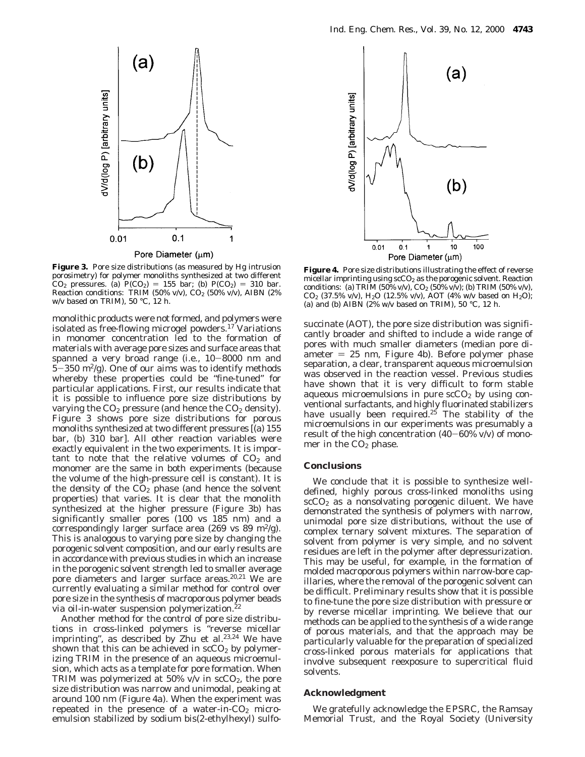

**Figure 3.** Pore size distributions (as measured by Hg intrusion porosimetry) for polymer monoliths synthesized at two different  $CO_2$  pressures. (a)  $P(CO_2) = 155$  bar; (b)  $P(CO_2) = 310$  bar. Reaction conditions: TRIM (50% v/v), CO2 (50% v/v), AIBN (2% w/v based on TRIM), 50 °C, 12 h.

monolithic products were *not* formed, and polymers were isolated as free-flowing microgel powders.<sup>17</sup> Variations in monomer concentration led to the formation of materials with average pore sizes and surface areas that spanned a very broad range (i.e., 10-8000 nm and  $5-350$  m<sup>2</sup>/g). One of our aims was to identify methods whereby these properties could be "fine-tuned" for particular applications. First, our results indicate that it is possible to influence pore size distributions by varying the  $CO<sub>2</sub>$  pressure (and hence the  $CO<sub>2</sub>$  density). Figure 3 shows pore size distributions for porous monoliths synthesized at two different pressures [(a) 155 bar, (b) 310 bar]. All other reaction variables were exactly equivalent in the two experiments. It is important to note that the relative *volumes* of  $CO<sub>2</sub>$  and monomer are the same in both experiments (because the volume of the high-pressure cell is constant). It is the *density* of the  $CO<sub>2</sub>$  phase (and hence the solvent properties) that varies. It is clear that the monolith synthesized at the higher pressure (Figure 3b) has significantly smaller pores (100 vs 185 nm) and a correspondingly larger surface area (269 vs 89 m<sup>2</sup>/g). This is analogous to varying pore size by changing the porogenic solvent composition, and our early results are in accordance with previous studies in which an increase in the porogenic solvent strength led to smaller average pore diameters and larger surface areas.<sup>20,21</sup> We are currently evaluating a similar method for control over pore size in the synthesis of macroporous polymer beads via oil-in-water suspension polymerization.<sup>22</sup>

Another method for the control of pore size distributions in cross-linked polymers is "reverse micellar imprinting", as described by Zhu et al.<sup>23,24</sup> We have shown that this can be achieved in  $\sec O_2$  by polymerizing TRIM in the presence of an aqueous microemulsion, which acts as a template for pore formation. When TRIM was polymerized at 50% v/v in  $\text{scCO}_2$ , the pore size distribution was narrow and unimodal, peaking at around 100 nm (Figure 4a). When the experiment was repeated in the presence of a water-in- $CO<sub>2</sub>$  microemulsion stabilized by sodium bis(2-ethylhexyl) sulfo-



**Figure 4.** Pore size distributions illustrating the effect of reverse micellar imprinting using  $\sec O_2$  as the porogenic solvent. Reaction conditions: (a) TRIM (50% v/v),  $CO_2$  (50% v/v); (b) TRIM (50% v/v),  $CO_2$  (37.5% v/v), H<sub>2</sub>O (12.5% v/v), AOT (4% w/v based on H<sub>2</sub>O); (a) and (b) AIBN (2% w/v based on TRIM), 50 °C, 12 h.

succinate (AOT), the pore size distribution was significantly broader and shifted to include a wide range of pores with much smaller diameters (median pore diameter  $= 25$  nm, Figure 4b). Before polymer phase separation, a clear, transparent aqueous microemulsion was observed in the reaction vessel. Previous studies have shown that it is very difficult to form stable aqueous microemulsions in *pure* scCO<sub>2</sub> by using conventional surfactants, and highly fluorinated stabilizers have usually been required.<sup>25</sup> The stability of the microemulsions in our experiments was presumably a result of the high concentration  $(40-60\% \text{ v/v})$  of monomer in the  $CO<sub>2</sub>$  phase.

#### **Conclusions**

We conclude that it is possible to synthesize welldefined, highly porous cross-linked monoliths using  $scCO<sub>2</sub>$  as a nonsolvating porogenic diluent. We have demonstrated the synthesis of polymers with narrow, unimodal pore size distributions, without the use of complex ternary solvent mixtures. The separation of solvent from polymer is very simple, and no solvent residues are left in the polymer after depressurization. This may be useful, for example, in the formation of molded macroporous polymers within narrow-bore capillaries, where the removal of the porogenic solvent can be difficult. Preliminary results show that it is possible to fine-tune the pore size distribution with pressure or by reverse micellar imprinting. We believe that our methods can be applied to the synthesis of a wide range of porous materials, and that the approach may be particularly valuable for the preparation of specialized cross-linked porous materials for applications that involve subsequent reexposure to supercritical fluid solvents.

## **Acknowledgment**

We gratefully acknowledge the EPSRC, the Ramsay Memorial Trust, and the Royal Society (University